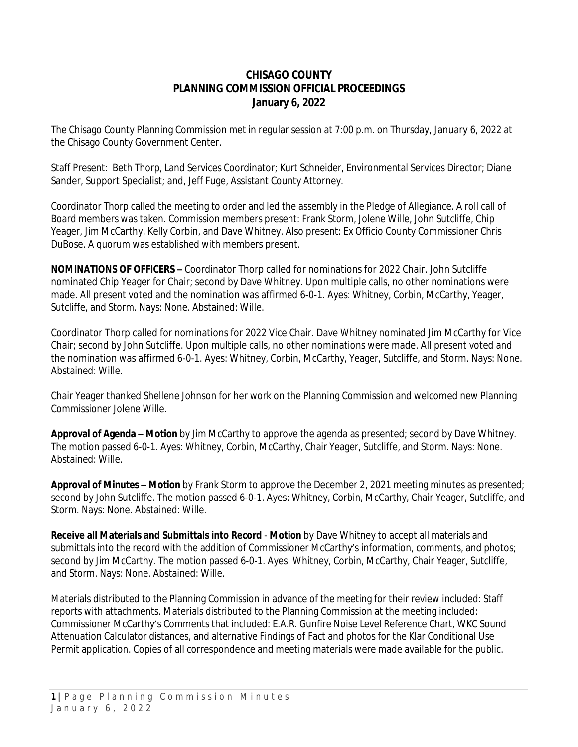### **CHISAGO COUNTY PLANNING COMMISSION OFFICIAL PROCEEDINGS January 6, 2022**

The Chisago County Planning Commission met in regular session at 7:00 p.m. on Thursday, January 6, 2022 at the Chisago County Government Center.

Staff Present: Beth Thorp, Land Services Coordinator; Kurt Schneider, Environmental Services Director; Diane Sander, Support Specialist; and, Jeff Fuge, Assistant County Attorney.

Coordinator Thorp called the meeting to order and led the assembly in the Pledge of Allegiance. A roll call of Board members was taken. Commission members present: Frank Storm, Jolene Wille, John Sutcliffe, Chip Yeager, Jim McCarthy, Kelly Corbin, and Dave Whitney. Also present: Ex Officio County Commissioner Chris DuBose. A quorum was established with members present.

**NOMINATIONS OF OFFICERS –** Coordinator Thorp called for nominations for 2022 Chair. John Sutcliffe nominated Chip Yeager for Chair; second by Dave Whitney. Upon multiple calls, no other nominations were made. All present voted and the nomination was affirmed 6-0-1. Ayes: Whitney, Corbin, McCarthy, Yeager, Sutcliffe, and Storm. Nays: None. Abstained: Wille.

Coordinator Thorp called for nominations for 2022 Vice Chair. Dave Whitney nominated Jim McCarthy for Vice Chair; second by John Sutcliffe. Upon multiple calls, no other nominations were made. All present voted and the nomination was affirmed 6-0-1. Ayes: Whitney, Corbin, McCarthy, Yeager, Sutcliffe, and Storm. Nays: None. Abstained: Wille.

Chair Yeager thanked Shellene Johnson for her work on the Planning Commission and welcomed new Planning Commissioner Jolene Wille.

**Approval of Agenda** – *Motion* by Jim McCarthy to approve the agenda as presented; second by Dave Whitney. The motion passed 6-0-1. Ayes: Whitney, Corbin, McCarthy, Chair Yeager, Sutcliffe, and Storm. Nays: None. Abstained: Wille.

**Approval of Minutes** – *Motion* by Frank Storm to approve the December 2, 2021 meeting minutes as presented; second by John Sutcliffe. The motion passed 6-0-1. Ayes: Whitney, Corbin, McCarthy, Chair Yeager, Sutcliffe, and Storm. Nays: None. Abstained: Wille.

**Receive all Materials and Submittals into Record** - *Motion* by Dave Whitney to accept all materials and submittals into the record with the addition of Commissioner McCarthy's information, comments, and photos; second by Jim McCarthy. The motion passed 6-0-1. Ayes: Whitney, Corbin, McCarthy, Chair Yeager, Sutcliffe, and Storm. Nays: None. Abstained: Wille.

Materials distributed to the Planning Commission in advance of the meeting for their review included: Staff reports with attachments. Materials distributed to the Planning Commission at the meeting included: Commissioner McCarthy's Comments that included: E.A.R. Gunfire Noise Level Reference Chart, WKC Sound Attenuation Calculator distances, and alternative Findings of Fact and photos for the Klar Conditional Use Permit application. Copies of all correspondence and meeting materials were made available for the public.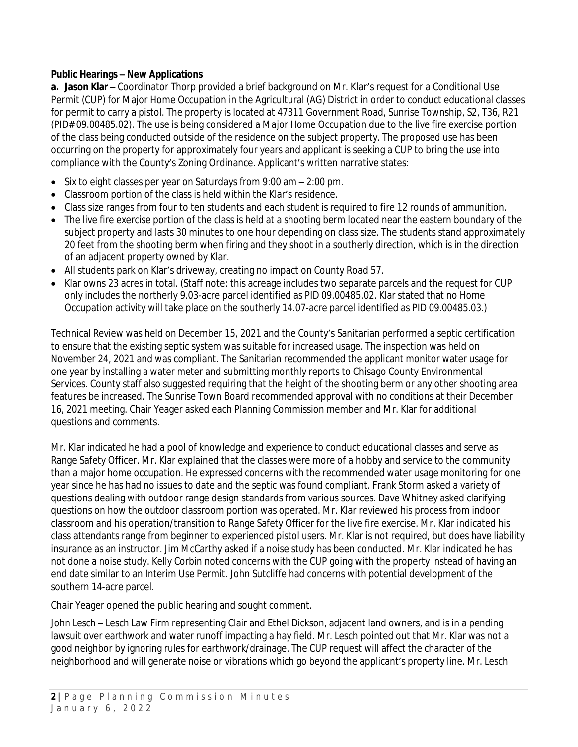#### **Public Hearings – New Applications**

**a. Jason Klar** – Coordinator Thorp provided a brief background on Mr. Klar's request for a Conditional Use Permit (CUP) for Major Home Occupation in the Agricultural (AG) District in order to conduct educational classes for permit to carry a pistol. The property is located at 47311 Government Road, Sunrise Township, S2, T36, R21 (PID# 09.00485.02). The use is being considered a *Major* Home Occupation due to the live fire exercise portion of the class being conducted outside of the residence on the subject property. The proposed use has been occurring on the property for approximately four years and applicant is seeking a CUP to bring the use into compliance with the County's Zoning Ordinance. Applicant's written narrative states:

- Six to eight classes per year on Saturdays from 9:00 am 2:00 pm.
- Classroom portion of the class is held within the Klar's residence.
- Class size ranges from four to ten students and each student is required to fire 12 rounds of ammunition.
- The live fire exercise portion of the class is held at a shooting berm located near the eastern boundary of the subject property and lasts 30 minutes to one hour depending on class size. The students stand approximately 20 feet from the shooting berm when firing and they shoot in a southerly direction, which is in the direction of an adjacent property owned by Klar.
- All students park on Klar's driveway, creating no impact on County Road 57.
- Klar owns 23 acres in total. (Staff note: this acreage includes two separate parcels and the request for CUP only includes the northerly 9.03-acre parcel identified as PID 09.00485.02. Klar stated that no Home Occupation activity will take place on the southerly 14.07-acre parcel identified as PID 09.00485.03.)

Technical Review was held on December 15, 2021 and the County's Sanitarian performed a septic certification to ensure that the existing septic system was suitable for increased usage. The inspection was held on November 24, 2021 and was compliant. The Sanitarian recommended the applicant monitor water usage for one year by installing a water meter and submitting monthly reports to Chisago County Environmental Services. County staff also suggested requiring that the height of the shooting berm or any other shooting area features be increased. The Sunrise Town Board recommended approval with no conditions at their December 16, 2021 meeting. Chair Yeager asked each Planning Commission member and Mr. Klar for additional questions and comments.

Mr. Klar indicated he had a pool of knowledge and experience to conduct educational classes and serve as Range Safety Officer. Mr. Klar explained that the classes were more of a hobby and service to the community than a major home occupation. He expressed concerns with the recommended water usage monitoring for one year since he has had no issues to date and the septic was found compliant. Frank Storm asked a variety of questions dealing with outdoor range design standards from various sources. Dave Whitney asked clarifying questions on how the outdoor classroom portion was operated. Mr. Klar reviewed his process from indoor classroom and his operation/transition to Range Safety Officer for the live fire exercise. Mr. Klar indicated his class attendants range from beginner to experienced pistol users. Mr. Klar is not required, but does have liability insurance as an instructor. Jim McCarthy asked if a noise study has been conducted. Mr. Klar indicated he has not done a noise study. Kelly Corbin noted concerns with the CUP going with the property instead of having an end date similar to an Interim Use Permit. John Sutcliffe had concerns with potential development of the southern 14-acre parcel.

Chair Yeager opened the public hearing and sought comment.

*John Lesch* – Lesch Law Firm representing Clair and Ethel Dickson, adjacent land owners, and is in a pending lawsuit over earthwork and water runoff impacting a hay field. Mr. Lesch pointed out that Mr. Klar was not a good neighbor by ignoring rules for earthwork/drainage. The CUP request will affect the character of the neighborhood and will generate noise or vibrations which go beyond the applicant's property line. Mr. Lesch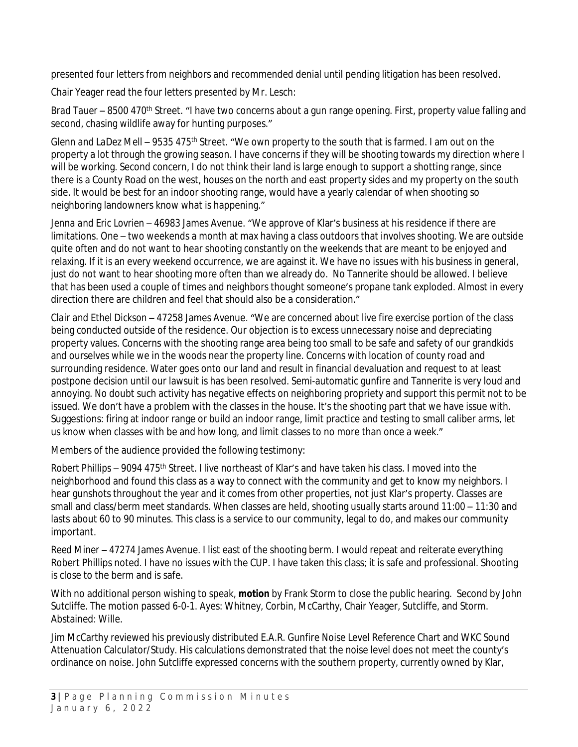presented four letters from neighbors and recommended denial until pending litigation has been resolved.

Chair Yeager read the four letters presented by Mr. Lesch:

*Brad Tauer* – 8500 470<sup>th</sup> Street. "I have two concerns about a gun range opening. First, property value falling and second, chasing wildlife away for hunting purposes."

*Glenn and LaDez Mell* – 9535 475th Street. "We own property to the south that is farmed. I am out on the property a lot through the growing season. I have concerns if they will be shooting towards my direction where I will be working. Second concern, I do not think their land is large enough to support a shotting range, since there is a County Road on the west, houses on the north and east property sides and my property on the south side. It would be best for an indoor shooting range, would have a yearly calendar of when shooting so neighboring landowners know what is happening."

*Jenna and Eric Lovrien* – 46983 James Avenue. "We approve of Klar's business at his residence if there are limitations. One – two weekends a month at max having a class outdoors that involves shooting. We are outside quite often and do not want to hear shooting constantly on the weekends that are meant to be enjoyed and relaxing. If it is an every weekend occurrence, we are against it. We have no issues with his business in general, just do not want to hear shooting more often than we already do. No Tannerite should be allowed. I believe that has been used a couple of times and neighbors thought someone's propane tank exploded. Almost in every direction there are children and feel that should also be a consideration."

*Clair and Ethel Dickson* – 47258 James Avenue. "We are concerned about live fire exercise portion of the class being conducted outside of the residence. Our objection is to excess unnecessary noise and depreciating property values. Concerns with the shooting range area being too small to be safe and safety of our grandkids and ourselves while we in the woods near the property line. Concerns with location of county road and surrounding residence. Water goes onto our land and result in financial devaluation and request to at least postpone decision until our lawsuit is has been resolved. Semi-automatic gunfire and Tannerite is very loud and annoying. No doubt such activity has negative effects on neighboring propriety and support this permit not to be issued. We don't have a problem with the classes in the house. It's the shooting part that we have issue with. Suggestions: firing at indoor range or build an indoor range, limit practice and testing to small caliber arms, let us know when classes with be and how long, and limit classes to no more than once a week."

Members of the audience provided the following testimony:

*Robert Phillips* – 9094 475th Street. I live northeast of Klar's and have taken his class. I moved into the neighborhood and found this class as a way to connect with the community and get to know my neighbors. I hear gunshots throughout the year and it comes from other properties, not just Klar's property. Classes are small and class/berm meet standards. When classes are held, shooting usually starts around 11:00 – 11:30 and lasts about 60 to 90 minutes. This class is a service to our community, legal to do, and makes our community important.

*Reed Miner* – 47274 James Avenue. I list east of the shooting berm. I would repeat and reiterate everything Robert Phillips noted. I have no issues with the CUP. I have taken this class; it is safe and professional. Shooting is close to the berm and is safe.

With no additional person wishing to speak, *motion* by Frank Storm to close the public hearing. Second by John Sutcliffe. The motion passed 6-0-1. Ayes: Whitney, Corbin, McCarthy, Chair Yeager, Sutcliffe, and Storm. Abstained: Wille.

Jim McCarthy reviewed his previously distributed E.A.R. Gunfire Noise Level Reference Chart and WKC Sound Attenuation Calculator/Study. His calculations demonstrated that the noise level does not meet the county's ordinance on noise. John Sutcliffe expressed concerns with the southern property, currently owned by Klar,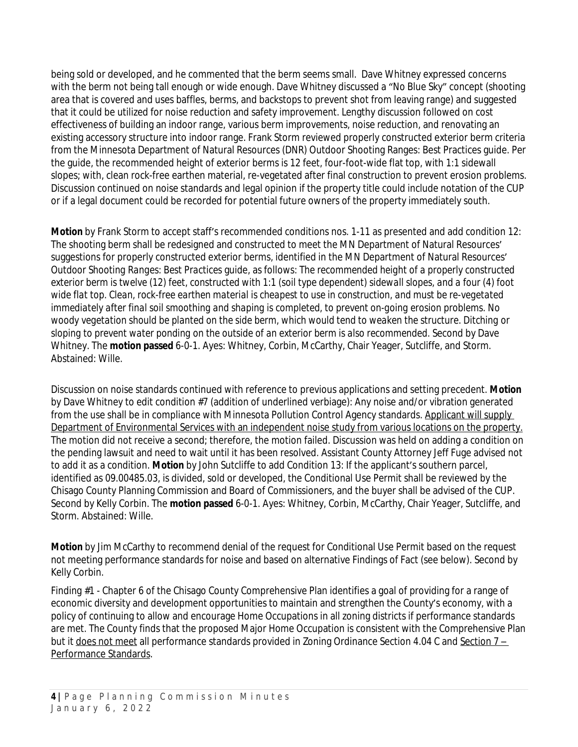being sold or developed, and he commented that the berm seems small. Dave Whitney expressed concerns with the berm not being tall enough or wide enough. Dave Whitney discussed a "No Blue Sky" concept (shooting area that is covered and uses baffles, berms, and backstops to prevent shot from leaving range) and suggested that it could be utilized for noise reduction and safety improvement. Lengthy discussion followed on cost effectiveness of building an indoor range, various berm improvements, noise reduction, and renovating an existing accessory structure into indoor range. Frank Storm reviewed properly constructed exterior berm criteria from the Minnesota Department of Natural Resources (DNR) Outdoor Shooting Ranges: Best Practices guide. Per the guide, the recommended height of exterior berms is 12 feet, four-foot-wide flat top, with 1:1 sidewall slopes; with, clean rock-free earthen material, re-vegetated after final construction to prevent erosion problems. Discussion continued on noise standards and legal opinion if the property title could include notation of the CUP or if a legal document could be recorded for potential future owners of the property immediately south.

*Motion* by Frank Storm to accept staff's recommended conditions nos. 1-11 as presented and add condition 12: The shooting berm shall be redesigned and constructed to meet the MN Department of Natural Resources' suggestions for properly constructed exterior berms, identified in the MN Department of Natural Resources' *Outdoor Shooting Ranges: Best Practices* guide, as follows: *The recommended height of a properly constructed exterior berm is twelve (12) feet, constructed with 1:1 (soil type dependent) sidewall slopes, and a four (4) foot wide flat top. Clean, rock-free earthen material is cheapest to use in construction, and must be re-vegetated immediately after final soil smoothing and shaping is completed, to prevent on-going erosion problems. No woody vegetation should be planted on the side berm, which would tend to weaken the structure. Ditching or sloping to prevent water ponding on the outside of an exterior berm is also recommended.* Second by Dave Whitney. The **motion passed** 6-0-1. Ayes: Whitney, Corbin, McCarthy, Chair Yeager, Sutcliffe, and Storm. Abstained: Wille.

Discussion on noise standards continued with reference to previous applications and setting precedent. *Motion* by Dave Whitney to edit condition #7 (addition of underlined verbiage): Any noise and/or vibration generated from the use shall be in compliance with Minnesota Pollution Control Agency standards. Applicant will supply Department of Environmental Services with an independent noise study from various locations on the property. The motion did not receive a second; therefore, the motion failed. Discussion was held on adding a condition on the pending lawsuit and need to wait until it has been resolved. Assistant County Attorney Jeff Fuge advised not to add it as a condition. *Motion* by John Sutcliffe to add Condition 13: If the applicant's southern parcel, identified as 09.00485.03, is divided, sold or developed, the Conditional Use Permit shall be reviewed by the Chisago County Planning Commission and Board of Commissioners, and the buyer shall be advised of the CUP. Second by Kelly Corbin. The **motion passed** 6-0-1. Ayes: Whitney, Corbin, McCarthy, Chair Yeager, Sutcliffe, and Storm. Abstained: Wille.

*Motion* by Jim McCarthy to recommend denial of the request for Conditional Use Permit based on the request not meeting performance standards for noise and based on alternative Findings of Fact (see below). Second by Kelly Corbin.

Finding #1 - Chapter 6 of the Chisago County Comprehensive Plan identifies a goal of providing for a range of economic diversity and development opportunities to maintain and strengthen the County's economy, with a policy of continuing to allow and encourage Home Occupations in all zoning districts if performance standards are met. The County finds that the proposed Major Home Occupation is consistent with the Comprehensive Plan but it does not meet all performance standards provided in Zoning Ordinance Section 4.04 C and Section 7 – Performance Standards.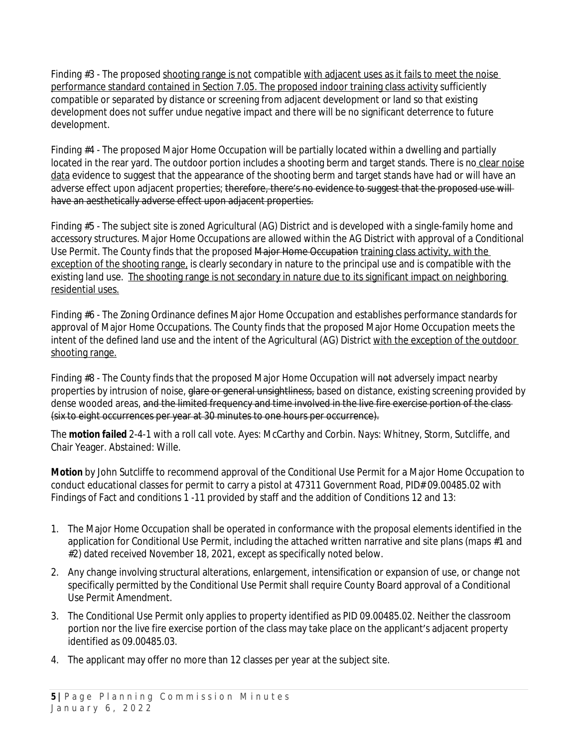Finding #3 - The proposed shooting range is not compatible with adjacent uses as it fails to meet the noise performance standard contained in Section 7.05. The proposed indoor training class activity sufficiently compatible or separated by distance or screening from adjacent development or land so that existing development does not suffer undue negative impact and there will be no significant deterrence to future development.

Finding #4 - The proposed Major Home Occupation will be partially located within a dwelling and partially located in the rear yard. The outdoor portion includes a shooting berm and target stands. There is no clear noise data evidence to suggest that the appearance of the shooting berm and target stands have had or will have an adverse effect upon adjacent properties; therefore, there's no evidence to suggest that the proposed use will have an aesthetically adverse effect upon adjacent properties.

Finding #5 - The subject site is zoned Agricultural (AG) District and is developed with a single-family home and accessory structures. Major Home Occupations are allowed within the AG District with approval of a Conditional Use Permit. The County finds that the proposed Major Home Occupation training class activity, with the exception of the shooting range, is clearly secondary in nature to the principal use and is compatible with the existing land use. The shooting range is not secondary in nature due to its significant impact on neighboring residential uses.

Finding #6 - The Zoning Ordinance defines Major Home Occupation and establishes performance standards for approval of Major Home Occupations. The County finds that the proposed Major Home Occupation meets the intent of the defined land use and the intent of the Agricultural (AG) District with the exception of the outdoor shooting range.

Finding #8 - The County finds that the proposed Major Home Occupation will not adversely impact nearby properties by intrusion of noise, glare or general unsightliness, based on distance, existing screening provided by dense wooded areas, and the limited frequency and time involved in the live fire exercise portion of the class-(six to eight occurrences per year at 30 minutes to one hours per occurrence).

The *motion failed* 2-4-1 with a roll call vote. Ayes: McCarthy and Corbin. Nays: Whitney, Storm, Sutcliffe, and Chair Yeager. Abstained: Wille.

*Motion* by John Sutcliffe to recommend approval of the Conditional Use Permit for a Major Home Occupation to conduct educational classes for permit to carry a pistol at 47311 Government Road, PID# 09.00485.02 with Findings of Fact and conditions 1 -11 provided by staff and the addition of Conditions 12 and 13:

- 1. The Major Home Occupation shall be operated in conformance with the proposal elements identified in the application for Conditional Use Permit, including the attached written narrative and site plans (maps #1 and #2) dated received November 18, 2021, except as specifically noted below.
- 2. Any change involving structural alterations, enlargement, intensification or expansion of use, or change not specifically permitted by the Conditional Use Permit shall require County Board approval of a Conditional Use Permit Amendment.
- 3. The Conditional Use Permit only applies to property identified as PID 09.00485.02. Neither the classroom portion nor the live fire exercise portion of the class may take place on the applicant's adjacent property identified as 09.00485.03.
- 4. The applicant may offer no more than 12 classes per year at the subject site.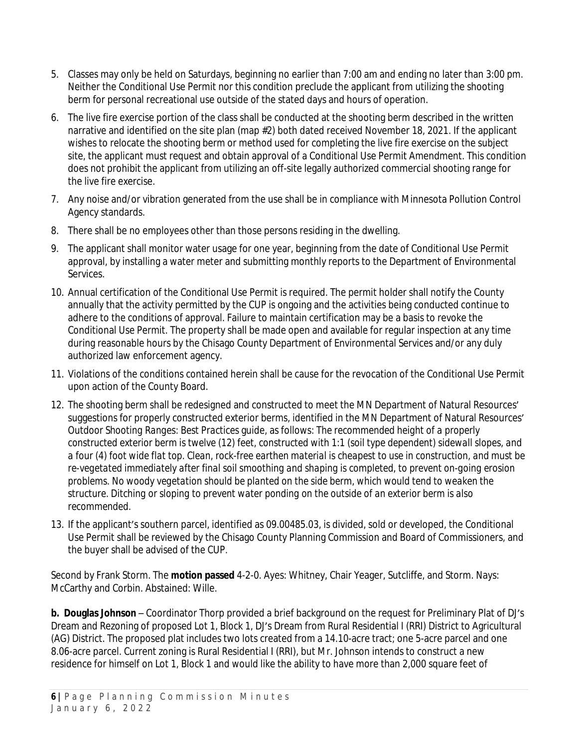- 5. Classes may only be held on Saturdays, beginning no earlier than 7:00 am and ending no later than 3:00 pm. Neither the Conditional Use Permit nor this condition preclude the applicant from utilizing the shooting berm for personal recreational use outside of the stated days and hours of operation.
- 6. The live fire exercise portion of the class shall be conducted at the shooting berm described in the written narrative and identified on the site plan (map #2) both dated received November 18, 2021. If the applicant wishes to relocate the shooting berm or method used for completing the live fire exercise on the subject site, the applicant must request and obtain approval of a Conditional Use Permit Amendment. This condition does not prohibit the applicant from utilizing an off-site legally authorized commercial shooting range for the live fire exercise.
- 7. Any noise and/or vibration generated from the use shall be in compliance with Minnesota Pollution Control Agency standards.
- 8. There shall be no employees other than those persons residing in the dwelling.
- 9. The applicant shall monitor water usage for one year, beginning from the date of Conditional Use Permit approval, by installing a water meter and submitting monthly reports to the Department of Environmental Services.
- 10. Annual certification of the Conditional Use Permit is required. The permit holder shall notify the County annually that the activity permitted by the CUP is ongoing and the activities being conducted continue to adhere to the conditions of approval. Failure to maintain certification may be a basis to revoke the Conditional Use Permit. The property shall be made open and available for regular inspection at any time during reasonable hours by the Chisago County Department of Environmental Services and/or any duly authorized law enforcement agency.
- 11. Violations of the conditions contained herein shall be cause for the revocation of the Conditional Use Permit upon action of the County Board.
- 12. The shooting berm shall be redesigned and constructed to meet the MN Department of Natural Resources' suggestions for properly constructed exterior berms, identified in the MN Department of Natural Resources' *Outdoor Shooting Ranges: Best Practices* guide, as follows: *The recommended height of a properly constructed exterior berm is twelve (12) feet, constructed with 1:1 (soil type dependent) sidewall slopes, and a four (4) foot wide flat top. Clean, rock-free earthen material is cheapest to use in construction, and must be re-vegetated immediately after final soil smoothing and shaping is completed, to prevent on-going erosion problems. No woody vegetation should be planted on the side berm, which would tend to weaken the structure. Ditching or sloping to prevent water ponding on the outside of an exterior berm is also recommended.*
- 13. If the applicant's southern parcel, identified as 09.00485.03, is divided, sold or developed, the Conditional Use Permit shall be reviewed by the Chisago County Planning Commission and Board of Commissioners, and the buyer shall be advised of the CUP.

Second by Frank Storm. The **motion passed** 4-2-0. Ayes: Whitney, Chair Yeager, Sutcliffe, and Storm. Nays: McCarthy and Corbin. Abstained: Wille.

**b. Douglas Johnson** – Coordinator Thorp provided a brief background on the request for Preliminary Plat of DJ's Dream and Rezoning of proposed Lot 1, Block 1, DJ's Dream from Rural Residential I (RRI) District to Agricultural (AG) District. The proposed plat includes two lots created from a 14.10-acre tract; one 5-acre parcel and one 8.06-acre parcel. Current zoning is Rural Residential I (RRI), but Mr. Johnson intends to construct a new residence for himself on Lot 1, Block 1 and would like the ability to have more than 2,000 square feet of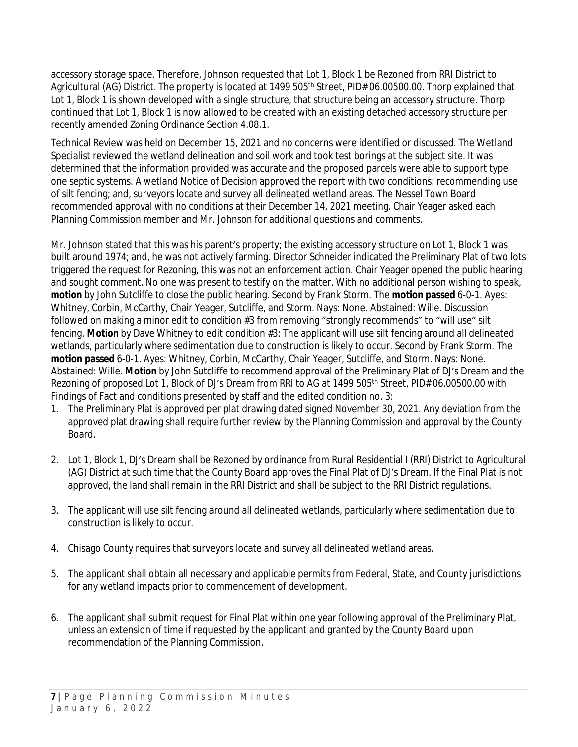accessory storage space. Therefore, Johnson requested that Lot 1, Block 1 be Rezoned from RRI District to Agricultural (AG) District. The property is located at 1499 505<sup>th</sup> Street, PID# 06.00500.00. Thorp explained that Lot 1, Block 1 is shown developed with a single structure, that structure being an accessory structure. Thorp continued that Lot 1, Block 1 is now allowed to be created with an existing detached accessory structure per recently amended Zoning Ordinance Section 4.08.1.

Technical Review was held on December 15, 2021 and no concerns were identified or discussed. The Wetland Specialist reviewed the wetland delineation and soil work and took test borings at the subject site. It was determined that the information provided was accurate and the proposed parcels were able to support type one septic systems. A wetland Notice of Decision approved the report with two conditions: recommending use of silt fencing; and, surveyors locate and survey all delineated wetland areas. The Nessel Town Board recommended approval with no conditions at their December 14, 2021 meeting. Chair Yeager asked each Planning Commission member and Mr. Johnson for additional questions and comments.

Mr. Johnson stated that this was his parent's property; the existing accessory structure on Lot 1, Block 1 was built around 1974; and, he was not actively farming. Director Schneider indicated the Preliminary Plat of two lots triggered the request for Rezoning, this was not an enforcement action. Chair Yeager opened the public hearing and sought comment. No one was present to testify on the matter. With no additional person wishing to speak, *motion* by John Sutcliffe to close the public hearing. Second by Frank Storm. The **motion passed** 6-0-1. Ayes: Whitney, Corbin, McCarthy, Chair Yeager, Sutcliffe, and Storm. Nays: None. Abstained: Wille. Discussion followed on making a minor edit to condition #3 from removing "strongly recommends" to "will use" silt fencing. *Motion* by Dave Whitney to edit condition #3: The applicant will use silt fencing around all delineated wetlands, particularly where sedimentation due to construction is likely to occur. Second by Frank Storm. The **motion passed** 6-0-1. Ayes: Whitney, Corbin, McCarthy, Chair Yeager, Sutcliffe, and Storm. Nays: None. Abstained: Wille. *Motion* by John Sutcliffe to recommend approval of the Preliminary Plat of DJ's Dream and the Rezoning of proposed Lot 1, Block of DJ's Dream from RRI to AG at 1499 505<sup>th</sup> Street, PID# 06.00500.00 with Findings of Fact and conditions presented by staff and the edited condition no. 3:

- 1. The Preliminary Plat is approved per plat drawing dated signed November 30, 2021. Any deviation from the approved plat drawing shall require further review by the Planning Commission and approval by the County Board.
- 2. Lot 1, Block 1, DJ's Dream shall be Rezoned by ordinance from Rural Residential I (RRI) District to Agricultural (AG) District at such time that the County Board approves the Final Plat of DJ's Dream. If the Final Plat is not approved, the land shall remain in the RRI District and shall be subject to the RRI District regulations.
- 3. The applicant will use silt fencing around all delineated wetlands, particularly where sedimentation due to construction is likely to occur.
- 4. Chisago County requires that surveyors locate and survey all delineated wetland areas.
- 5. The applicant shall obtain all necessary and applicable permits from Federal, State, and County jurisdictions for any wetland impacts prior to commencement of development.
- 6. The applicant shall submit request for Final Plat within one year following approval of the Preliminary Plat, unless an extension of time if requested by the applicant and granted by the County Board upon recommendation of the Planning Commission.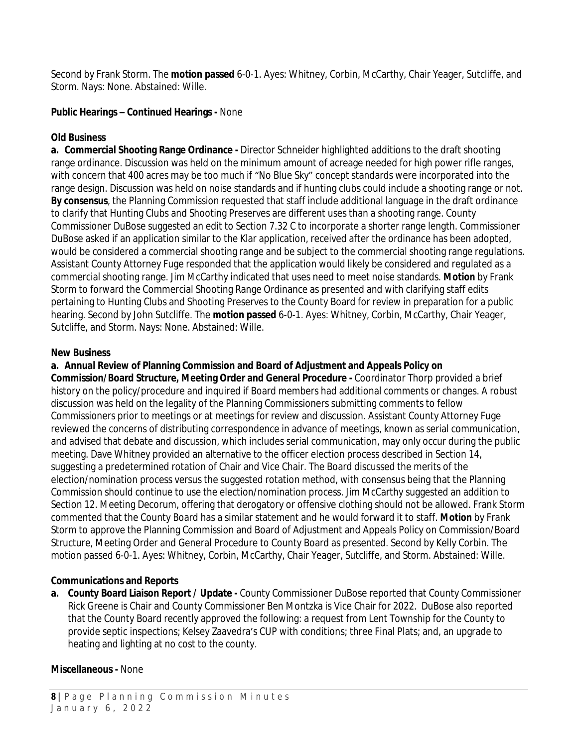Second by Frank Storm. The **motion passed** 6-0-1. Ayes: Whitney, Corbin, McCarthy, Chair Yeager, Sutcliffe, and Storm. Nays: None. Abstained: Wille.

#### **Public Hearings – Continued Hearings -** None

## **Old Business**

**a. Commercial Shooting Range Ordinance -** Director Schneider highlighted additions to the draft shooting range ordinance. Discussion was held on the minimum amount of acreage needed for high power rifle ranges, with concern that 400 acres may be too much if "No Blue Sky" concept standards were incorporated into the range design. Discussion was held on noise standards and if hunting clubs could include a shooting range or not. *By consensus*, the Planning Commission requested that staff include additional language in the draft ordinance to clarify that Hunting Clubs and Shooting Preserves are different uses than a shooting range. County Commissioner DuBose suggested an edit to Section 7.32 C to incorporate a shorter range length. Commissioner DuBose asked if an application similar to the Klar application, received after the ordinance has been adopted, would be considered a commercial shooting range and be subject to the commercial shooting range regulations. Assistant County Attorney Fuge responded that the application would likely be considered and regulated as a commercial shooting range. Jim McCarthy indicated that uses need to meet noise standards. *Motion* by Frank Storm to forward the Commercial Shooting Range Ordinance as presented and with clarifying staff edits pertaining to Hunting Clubs and Shooting Preserves to the County Board for review in preparation for a public hearing. Second by John Sutcliffe. The **motion passed** 6-0-1. Ayes: Whitney, Corbin, McCarthy, Chair Yeager, Sutcliffe, and Storm. Nays: None. Abstained: Wille.

### **New Business**

### **a. Annual Review of Planning Commission and Board of Adjustment and Appeals Policy on**

**Commission/Board Structure, Meeting Order and General Procedure -** Coordinator Thorp provided a brief history on the policy/procedure and inquired if Board members had additional comments or changes. A robust discussion was held on the legality of the Planning Commissioners submitting comments to fellow Commissioners prior to meetings or at meetings for review and discussion. Assistant County Attorney Fuge reviewed the concerns of distributing correspondence in advance of meetings, known as serial communication, and advised that debate and discussion, which includes serial communication, may only occur during the public meeting. Dave Whitney provided an alternative to the officer election process described in Section 14, suggesting a predetermined rotation of Chair and Vice Chair. The Board discussed the merits of the election/nomination process versus the suggested rotation method, with consensus being that the Planning Commission should continue to use the election/nomination process. Jim McCarthy suggested an addition to Section 12. Meeting Decorum, offering that derogatory or offensive clothing should not be allowed. Frank Storm commented that the County Board has a similar statement and he would forward it to staff. *Motion* by Frank Storm to approve the Planning Commission and Board of Adjustment and Appeals Policy on Commission/Board Structure, Meeting Order and General Procedure to County Board as presented. Second by Kelly Corbin. The motion passed 6-0-1. Ayes: Whitney, Corbin, McCarthy, Chair Yeager, Sutcliffe, and Storm. Abstained: Wille.

#### **Communications and Reports**

**a. County Board Liaison Report / Update -** County Commissioner DuBose reported that County Commissioner Rick Greene is Chair and County Commissioner Ben Montzka is Vice Chair for 2022. DuBose also reported that the County Board recently approved the following: a request from Lent Township for the County to provide septic inspections; Kelsey Zaavedra's CUP with conditions; three Final Plats; and, an upgrade to heating and lighting at no cost to the county.

# **Miscellaneous -** None